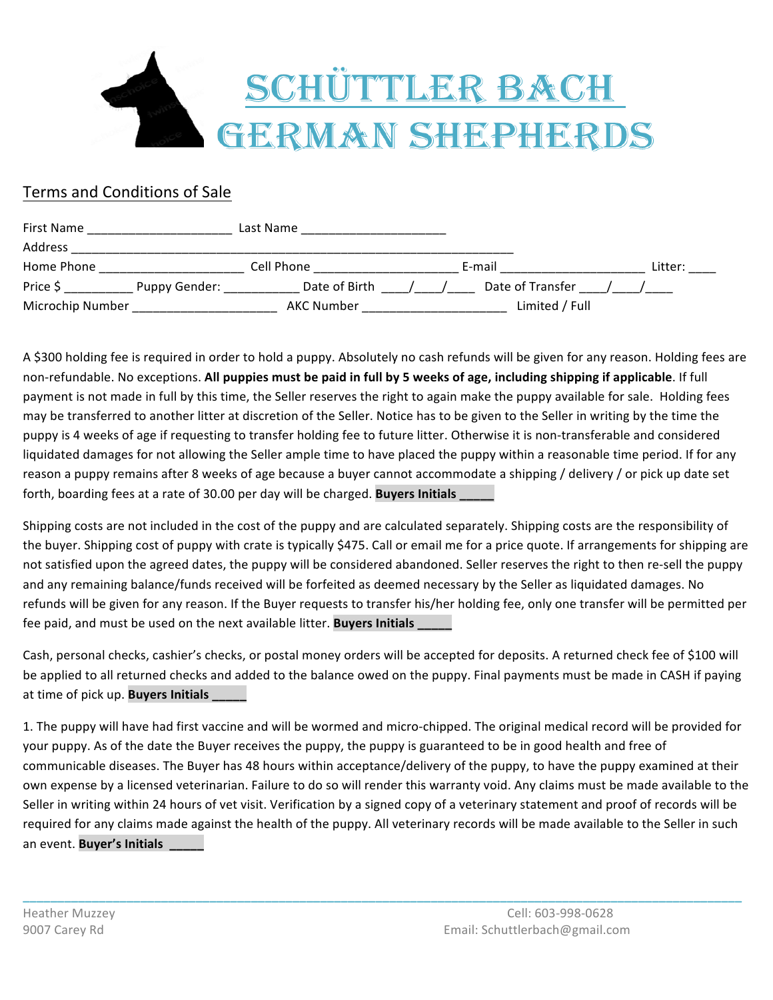

## Terms and Conditions of Sale

| First Name       |               | Last Name     |                  |                |         |
|------------------|---------------|---------------|------------------|----------------|---------|
| Address          |               |               |                  |                |         |
| Home Phone       |               | Cell Phone    | E-mail           |                | Litter: |
| Price S          | Puppy Gender: | Date of Birth | Date of Transfer |                |         |
| Microchip Number |               | AKC Number    |                  | Limited / Full |         |

A \$300 holding fee is required in order to hold a puppy. Absolutely no cash refunds will be given for any reason. Holding fees are non-refundable. No exceptions. All puppies must be paid in full by 5 weeks of age, including shipping if applicable. If full payment is not made in full by this time, the Seller reserves the right to again make the puppy available for sale. Holding fees may be transferred to another litter at discretion of the Seller. Notice has to be given to the Seller in writing by the time the puppy is 4 weeks of age if requesting to transfer holding fee to future litter. Otherwise it is non-transferable and considered liquidated damages for not allowing the Seller ample time to have placed the puppy within a reasonable time period. If for any reason a puppy remains after 8 weeks of age because a buyer cannot accommodate a shipping / delivery / or pick up date set forth, boarding fees at a rate of 30.00 per day will be charged. **Buyers Initials** 

Shipping costs are not included in the cost of the puppy and are calculated separately. Shipping costs are the responsibility of the buyer. Shipping cost of puppy with crate is typically \$475. Call or email me for a price quote. If arrangements for shipping are not satisfied upon the agreed dates, the puppy will be considered abandoned. Seller reserves the right to then re-sell the puppy and any remaining balance/funds received will be forfeited as deemed necessary by the Seller as liquidated damages. No refunds will be given for any reason. If the Buyer requests to transfer his/her holding fee, only one transfer will be permitted per fee paid, and must be used on the next available litter. **Buyers Initials** 

Cash, personal checks, cashier's checks, or postal money orders will be accepted for deposits. A returned check fee of \$100 will be applied to all returned checks and added to the balance owed on the puppy. Final payments must be made in CASH if paying at time of pick up. **Buyers Initials** 

1. The puppy will have had first vaccine and will be wormed and micro-chipped. The original medical record will be provided for your puppy. As of the date the Buyer receives the puppy, the puppy is guaranteed to be in good health and free of communicable diseases. The Buyer has 48 hours within acceptance/delivery of the puppy, to have the puppy examined at their own expense by a licensed veterinarian. Failure to do so will render this warranty void. Any claims must be made available to the Seller in writing within 24 hours of vet visit. Verification by a signed copy of a veterinary statement and proof of records will be required for any claims made against the health of the puppy. All veterinary records will be made available to the Seller in such an event. **Buyer's Initials** 

**\_\_\_\_\_\_\_\_\_\_\_\_\_\_\_\_\_\_\_\_\_\_\_\_\_\_\_\_\_\_\_\_\_\_\_\_\_\_\_\_\_\_\_\_\_\_\_\_\_\_\_\_\_\_\_\_\_\_\_\_\_\_\_\_\_\_\_\_\_\_\_\_\_\_\_\_\_\_\_\_\_\_\_\_\_\_\_\_\_\_\_\_\_\_\_\_\_\_\_\_\_\_\_\_**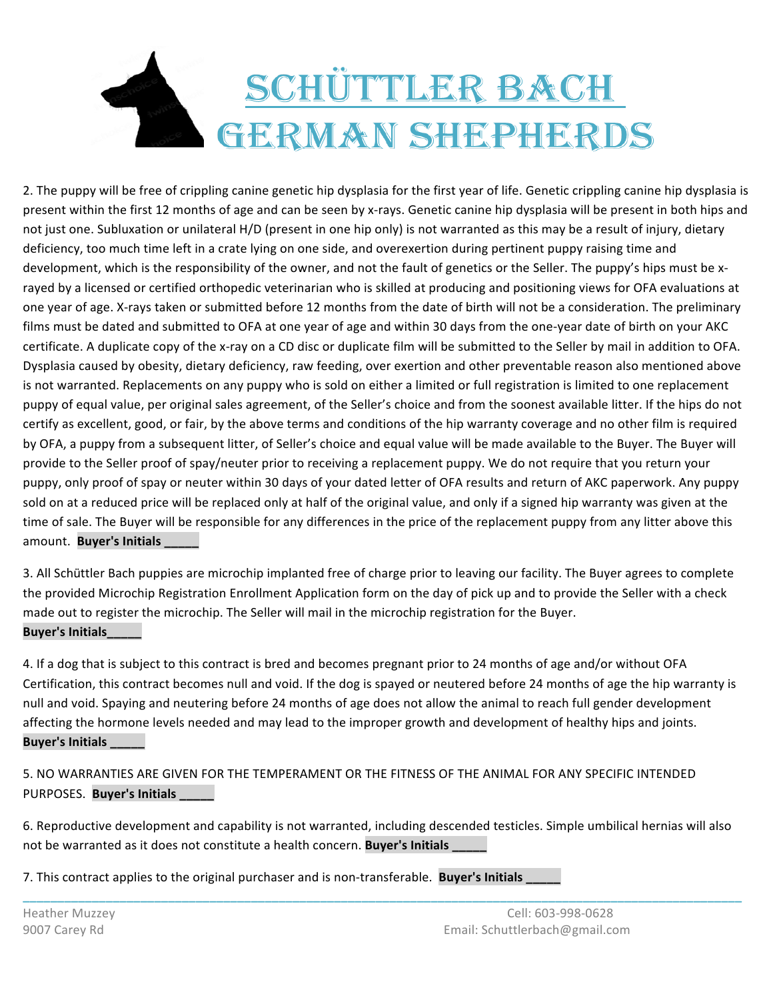## SCHÜTTLER BACH **GERMAN SHEPHERDS**

2. The puppy will be free of crippling canine genetic hip dysplasia for the first year of life. Genetic crippling canine hip dysplasia is present within the first 12 months of age and can be seen by x-rays. Genetic canine hip dysplasia will be present in both hips and not just one. Subluxation or unilateral H/D (present in one hip only) is not warranted as this may be a result of injury, dietary deficiency, too much time left in a crate lying on one side, and overexertion during pertinent puppy raising time and development, which is the responsibility of the owner, and not the fault of genetics or the Seller. The puppy's hips must be xrayed by a licensed or certified orthopedic veterinarian who is skilled at producing and positioning views for OFA evaluations at one year of age. X-rays taken or submitted before 12 months from the date of birth will not be a consideration. The preliminary films must be dated and submitted to OFA at one year of age and within 30 days from the one-year date of birth on your AKC certificate. A duplicate copy of the x-ray on a CD disc or duplicate film will be submitted to the Seller by mail in addition to OFA. Dysplasia caused by obesity, dietary deficiency, raw feeding, over exertion and other preventable reason also mentioned above is not warranted. Replacements on any puppy who is sold on either a limited or full registration is limited to one replacement puppy of equal value, per original sales agreement, of the Seller's choice and from the soonest available litter. If the hips do not certify as excellent, good, or fair, by the above terms and conditions of the hip warranty coverage and no other film is required by OFA, a puppy from a subsequent litter, of Seller's choice and equal value will be made available to the Buyer. The Buyer will provide to the Seller proof of spay/neuter prior to receiving a replacement puppy. We do not require that you return your puppy, only proof of spay or neuter within 30 days of your dated letter of OFA results and return of AKC paperwork. Any puppy sold on at a reduced price will be replaced only at half of the original value, and only if a signed hip warranty was given at the time of sale. The Buyer will be responsible for any differences in the price of the replacement puppy from any litter above this amount. **Buyer's Initials** 

3. All Schüttler Bach puppies are microchip implanted free of charge prior to leaving our facility. The Buyer agrees to complete the provided Microchip Registration Enrollment Application form on the day of pick up and to provide the Seller with a check made out to register the microchip. The Seller will mail in the microchip registration for the Buyer. **Buyer's Initials** 

4. If a dog that is subject to this contract is bred and becomes pregnant prior to 24 months of age and/or without OFA Certification, this contract becomes null and void. If the dog is spayed or neutered before 24 months of age the hip warranty is null and void. Spaying and neutering before 24 months of age does not allow the animal to reach full gender development affecting the hormone levels needed and may lead to the improper growth and development of healthy hips and joints. **Buyer's Initials** 

5. NO WARRANTIES ARE GIVEN FOR THE TEMPERAMENT OR THE FITNESS OF THE ANIMAL FOR ANY SPECIFIC INTENDED PURPOSES. Buyer's Initials \_\_\_\_\_\_

6. Reproductive development and capability is not warranted, including descended testicles. Simple umbilical hernias will also not be warranted as it does not constitute a health concern. **Buyer's Initials** 

**\_\_\_\_\_\_\_\_\_\_\_\_\_\_\_\_\_\_\_\_\_\_\_\_\_\_\_\_\_\_\_\_\_\_\_\_\_\_\_\_\_\_\_\_\_\_\_\_\_\_\_\_\_\_\_\_\_\_\_\_\_\_\_\_\_\_\_\_\_\_\_\_\_\_\_\_\_\_\_\_\_\_\_\_\_\_\_\_\_\_\_\_\_\_\_\_\_\_\_\_\_\_\_\_**

7. This contract applies to the original purchaser and is non-transferable. **Buyer's Initials**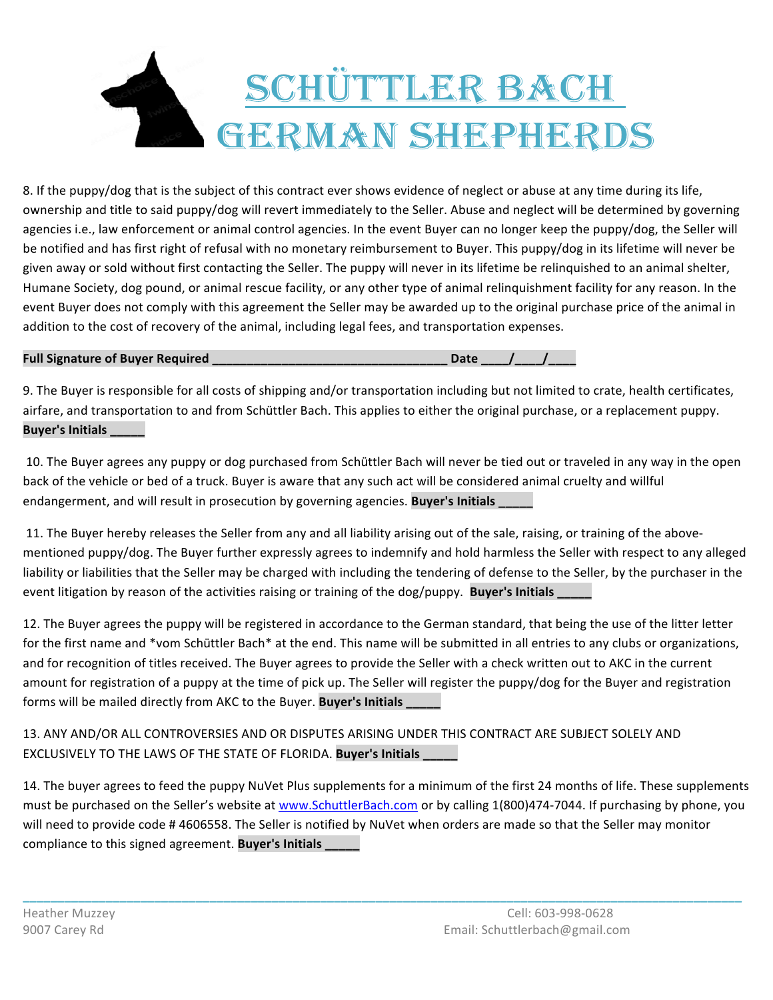## SCHÜTTLER BACH **GERMAN SHEPHERDS**

8. If the puppy/dog that is the subject of this contract ever shows evidence of neglect or abuse at any time during its life, ownership and title to said puppy/dog will revert immediately to the Seller. Abuse and neglect will be determined by governing agencies i.e., law enforcement or animal control agencies. In the event Buyer can no longer keep the puppy/dog, the Seller will be notified and has first right of refusal with no monetary reimbursement to Buyer. This puppy/dog in its lifetime will never be given away or sold without first contacting the Seller. The puppy will never in its lifetime be relinquished to an animal shelter, Humane Society, dog pound, or animal rescue facility, or any other type of animal relinquishment facility for any reason. In the event Buyer does not comply with this agreement the Seller may be awarded up to the original purchase price of the animal in addition to the cost of recovery of the animal, including legal fees, and transportation expenses.

## **Full Signature of Buyer Required**  and the state of the state of the state of the state of the state of the state of the state of the state of the state of the state of the state of the state of the state of the state of

9. The Buyer is responsible for all costs of shipping and/or transportation including but not limited to crate, health certificates, airfare, and transportation to and from Schüttler Bach. This applies to either the original purchase, or a replacement puppy. **Buyer's Initials** 

10. The Buyer agrees any puppy or dog purchased from Schüttler Bach will never be tied out or traveled in any way in the open back of the vehicle or bed of a truck. Buyer is aware that any such act will be considered animal cruelty and willful endangerment, and will result in prosecution by governing agencies. **Buyer's Initials** 

11. The Buyer hereby releases the Seller from any and all liability arising out of the sale, raising, or training of the abovementioned puppy/dog. The Buyer further expressly agrees to indemnify and hold harmless the Seller with respect to any alleged liability or liabilities that the Seller may be charged with including the tendering of defense to the Seller, by the purchaser in the event litigation by reason of the activities raising or training of the dog/puppy. **Buyer's Initials** 

12. The Buyer agrees the puppy will be registered in accordance to the German standard, that being the use of the litter letter for the first name and \*vom Schüttler Bach\* at the end. This name will be submitted in all entries to any clubs or organizations, and for recognition of titles received. The Buyer agrees to provide the Seller with a check written out to AKC in the current amount for registration of a puppy at the time of pick up. The Seller will register the puppy/dog for the Buyer and registration forms will be mailed directly from AKC to the Buyer. Buyer's Initials \_\_\_\_\_

13. ANY AND/OR ALL CONTROVERSIES AND OR DISPUTES ARISING UNDER THIS CONTRACT ARE SUBJECT SOLELY AND EXCLUSIVELY TO THE LAWS OF THE STATE OF FLORIDA. **Buyer's Initials** 

14. The buyer agrees to feed the puppy NuVet Plus supplements for a minimum of the first 24 months of life. These supplements must be purchased on the Seller's website at www.SchuttlerBach.com or by calling 1(800)474-7044. If purchasing by phone, you will need to provide code # 4606558. The Seller is notified by NuVet when orders are made so that the Seller may monitor compliance to this signed agreement. **Buyer's Initials** 

**\_\_\_\_\_\_\_\_\_\_\_\_\_\_\_\_\_\_\_\_\_\_\_\_\_\_\_\_\_\_\_\_\_\_\_\_\_\_\_\_\_\_\_\_\_\_\_\_\_\_\_\_\_\_\_\_\_\_\_\_\_\_\_\_\_\_\_\_\_\_\_\_\_\_\_\_\_\_\_\_\_\_\_\_\_\_\_\_\_\_\_\_\_\_\_\_\_\_\_\_\_\_\_\_**